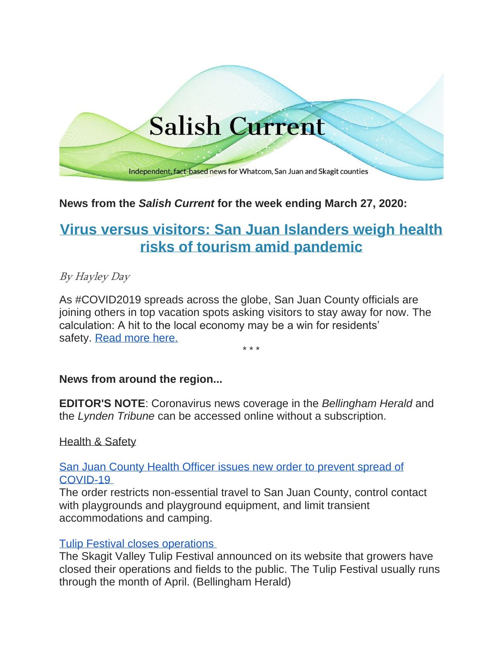# **Salish Current**

Independent, fact-based news for Whatcom, San Juan and Skagit counties

# **News from the** *Salish Current* **for the week ending March 27, 2020:**

# **[Virus versus visitors: San Juan Islanders weigh health](http://salish-current.org/2020/03/26/virus-versus-visitors-san-juan-islanders-weigh-health-risks-of-tourism-amid-pandemic/)  [risks of tourism amid pandemic](http://salish-current.org/2020/03/26/virus-versus-visitors-san-juan-islanders-weigh-health-risks-of-tourism-amid-pandemic/)**

# By Hayley Day

As #COVID2019 spreads across the globe, San Juan County officials are joining others in top vacation spots asking visitors to stay away for now. The calculation: A hit to the local economy may be a win for residents' safety. [Read more here.](http://salish-current.org/2020/03/26/virus-versus-visitors-san-juan-islanders-weigh-health-risks-of-tourism-amid-pandemic/)

\* \* \*

# **News from around the region...**

**EDITOR'S NOTE**: Coronavirus news coverage in the *Bellingham Herald* and the *Lynden Tribune* can be accessed online without a subscription.

#### Health & Safety

[San Juan County Health Officer issues new order to prevent spread of](https://orcasissues.com/san-juan-county-health-officer-issues-new-order-to-prevent-spread-of-covid-19/)  [COVID-19](https://orcasissues.com/san-juan-county-health-officer-issues-new-order-to-prevent-spread-of-covid-19/)

The order restricts non-essential travel to San Juan County, control contact with playgrounds and playground equipment, and limit transient accommodations and camping.

#### [Tulip Festival closes operations](https://www.bellinghamherald.com/news/local/article241481051.html)

The Skagit Valley Tulip Festival announced on its website that growers have closed their operations and fields to the public. The Tulip Festival usually runs through the month of April. (Bellingham Herald)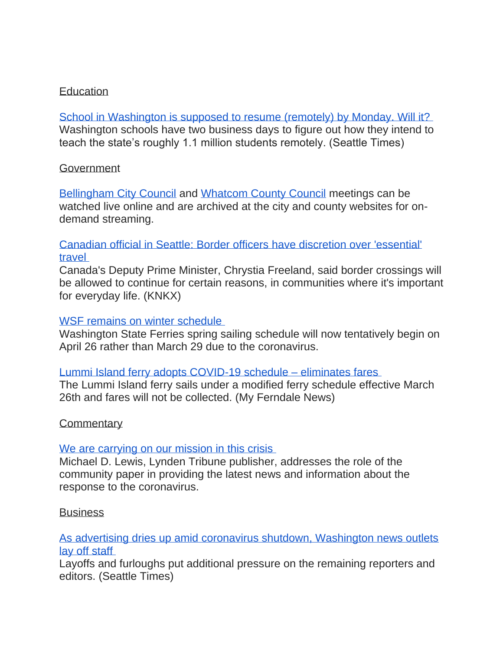# **Education**

[School in Washington is supposed to resume \(remotely\) by Monday. Will it?](https://www.seattletimes.com/education-lab/school-in-washington-is-supposed-to-resume-remotely-by-monday-will-it/) Washington schools have two business days to figure out how they intend to teach the state's roughly 1.1 million students remotely. (Seattle Times)

# **Government**

[Bellingham City Council](https://meetings.cob.org/) and [Whatcom County Council](https://whatcom.legistar.com/Calendar.aspx) meetings can be watched live online and are archived at the city and county websites for ondemand streaming.

# [Canadian official in Seattle: Border officers have discretion over 'essential'](https://www.knkx.org/post/canadian-official-seattle-border-officers-have-discretion-over-essential-travel)  [travel](https://www.knkx.org/post/canadian-official-seattle-border-officers-have-discretion-over-essential-travel)

Canada's Deputy Prime Minister, Chrystia Freeland, said border crossings will be allowed to continue for certain reasons, in communities where it's important for everyday life. (KNKX)

#### [WSF remains on winter schedule](https://orcasissues.com/reminder-wsf-remains-on-winter-schedule/)

Washington State Ferries spring sailing schedule will now tentatively begin on April 26 rather than March 29 due to the coronavirus.

#### [Lummi Island ferry adopts COVID-19 schedule –](https://myferndalenews.com/lummi-island-ferry-adopts-covid-19-schedule_101129/) eliminates fares

The Lummi Island ferry sails under a modified ferry schedule effective March 26th and fares will not be collected. (My Ferndale News)

#### **Commentary**

#### [We are carrying on our mission in this crisis](https://www.lyndentribune.com/community/forum/we-are-carrying-on-our-mission-in-this-crisis/article_f5a1d3c8-6e26-11ea-ba76-93c262633366.html)

Michael D. Lewis, Lynden Tribune publisher, addresses the role of the community paper in providing the latest news and information about the response to the coronavirus.

# **Business**

# [As advertising dries up amid coronavirus shutdown, Washington news outlets](https://www.seattletimes.com/business/local-business/as-advertising-dries-up-amid-coronavirus-shutdown-washington-news-outlets-lay-off-staff/)  [lay off staff](https://www.seattletimes.com/business/local-business/as-advertising-dries-up-amid-coronavirus-shutdown-washington-news-outlets-lay-off-staff/)

Layoffs and furloughs put additional pressure on the remaining reporters and editors. (Seattle Times)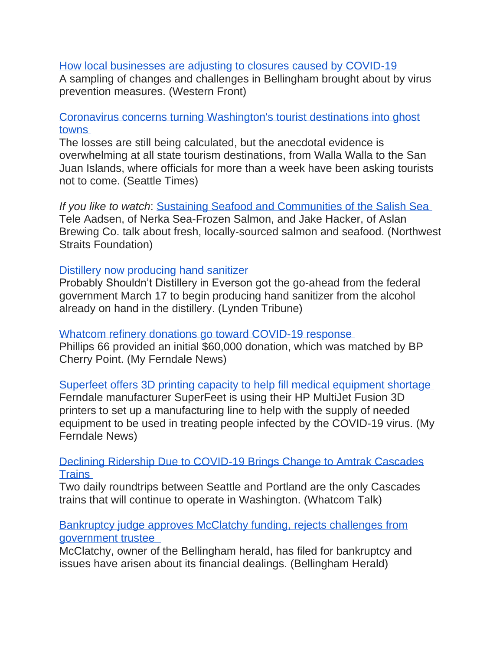# [How local businesses are adjusting to closures caused by COVID-19](https://www.westernfrontonline.com/2020/03/24/how-local-businesses-are-adjusting-to-closures-caused-by-covid-19/)

A sampling of changes and challenges in Bellingham brought about by virus prevention measures. (Western Front)

# [Coronavirus concerns turning Washington's tourist destinations into ghost](https://www.seattletimes.com/seattle-news/coronavirus-concerns-turning-washingtons-tourist-destinations-into-ghost-towns/?utm_source=referral&utm_medium=mobile-app&utm_campaign=ios)  [towns](https://www.seattletimes.com/seattle-news/coronavirus-concerns-turning-washingtons-tourist-destinations-into-ghost-towns/?utm_source=referral&utm_medium=mobile-app&utm_campaign=ios)

The losses are still being calculated, but the anecdotal evidence is overwhelming at all state tourism destinations, from Walla Walla to the San Juan Islands, where officials for more than a week have been asking tourists not to come. (Seattle Times)

*If you like to watch*: [Sustaining Seafood and Communities of the Salish Sea](https://www.youtube.com/watch?v=_2F3wy8GVng&feature=youtu.be) Tele Aadsen, of Nerka Sea-Frozen Salmon, and Jake Hacker, of Aslan Brewing Co. talk about fresh, locally-sourced salmon and seafood. (Northwest Straits Foundation)

#### [Distillery now producing hand sanitizer](https://www.lyndentribune.com/news/distillery-now-producing-hand-sanitizer/article_1e66a1d2-6e25-11ea-8c6b-2789fedd9c67.html)

Probably Shouldn't Distillery in Everson got the go-ahead from the federal government March 17 to begin producing hand sanitizer from the alcohol already on hand in the distillery. (Lynden Tribune)

[Whatcom refinery donations go toward COVID-19 response](https://myferndalenews.com/whatcom-refinery-donations-go-toward-covid-19-response_100932/)

Phillips 66 provided an initial \$60,000 donation, which was matched by BP Cherry Point. (My Ferndale News)

[Superfeet offers 3D printing capacity to help fill medical equipment shortage](https://myferndalenews.com/superfeet-offers-3d-printing-capacity-to-help-fill-medical-equipment-shortage_101026/) Ferndale manufacturer SuperFeet is using their HP MultiJet Fusion 3D printers to set up a manufacturing line to help with the supply of needed equipment to be used in treating people infected by the COVID-19 virus. (My Ferndale News)

[Declining Ridership Due to COVID-19 Brings Change to Amtrak Cascades](https://www.whatcomtalk.com/2020/03/25/declining-ridership-due-to-covid-19-brings-change-to-amtrak-cascades-trains/)  **[Trains](https://www.whatcomtalk.com/2020/03/25/declining-ridership-due-to-covid-19-brings-change-to-amtrak-cascades-trains/)** 

Two daily roundtrips between Seattle and Portland are the only Cascades trains that will continue to operate in Washington. (Whatcom Talk)

[Bankruptcy judge approves McClatchy funding, rejects challenges from](https://www.bellinghamherald.com/news/nation-world/national/article241498911.html)  [government trustee](https://www.bellinghamherald.com/news/nation-world/national/article241498911.html) 

McClatchy, owner of the Bellingham herald, has filed for bankruptcy and issues have arisen about its financial dealings. (Bellingham Herald)